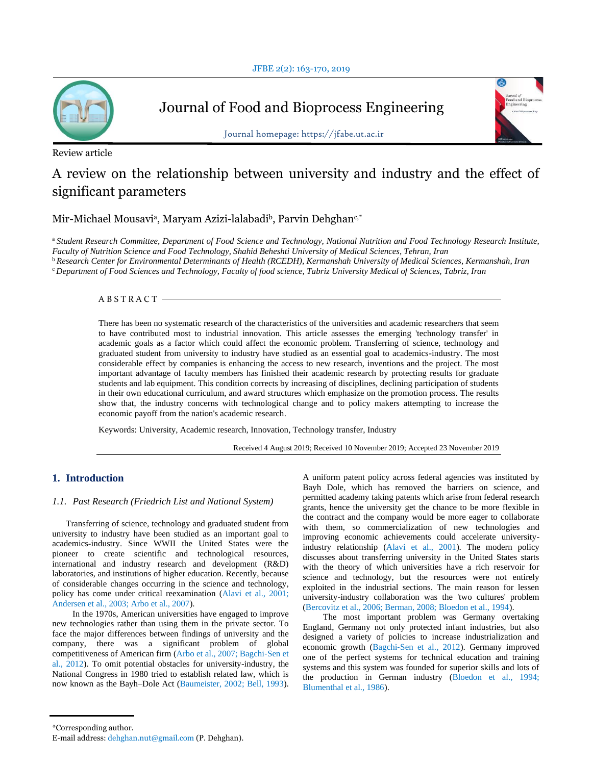

Journal of Food and Bioprocess Engineering



Journal homepage: https://jfabe.ut.ac.ir

Review article

# A review on the relationship between university and industry and the effect of significant parameters

Mir-Michael Mousavi<sup>a</sup> , Maryam Azizi-lalabadi<sup>b</sup> , Parvin Dehghanc,\*

<sup>a</sup>*Student Research Committee, Department of Food Science and Technology, National Nutrition and Food Technology Research Institute, Faculty of Nutrition Science and Food Technology, Shahid Beheshti University of Medical Sciences, Tehran, Iran*

<sup>b</sup>*Research Center for Environmental Determinants of Health (RCEDH), Kermanshah University of Medical Sciences, Kermanshah, Iran*

<sup>c</sup> *Department of Food Sciences and Technology, Faculty of food science, Tabriz University Medical of Sciences, Tabriz, Iran*

# $ABSTRACT -$

There has been no systematic research of the characteristics of the universities and academic researchers that seem to have contributed most to industrial innovation. This article assesses the emerging 'technology transfer' in academic goals as a factor which could affect the economic problem. Transferring of science, technology and graduated student from university to industry have studied as an essential goal to academics-industry. The most considerable effect by companies is enhancing the access to new research, inventions and the project. The most important advantage of faculty members has finished their academic research by protecting results for graduate students and lab equipment. This condition corrects by increasing of disciplines, declining participation of students in their own educational curriculum, and award structures which emphasize on the promotion process. The results show that, the industry concerns with technological change and to policy makers attempting to increase the economic payoff from the nation's academic research.

Keywords: University, Academic research, Innovation, Technology transfer, Industry

Received 4 August 2019; Received 10 November 2019; Accepted 23 November 2019

# **1. Introduction**

# *1.1. Past Research (Friedrich List and National System)*

Transferring of science, technology and graduated student from university to industry have been studied as an important goal to academics-industry. Since WWII the United States were the pioneer to create scientific and technological resources, international and industry research and development (R&D) laboratories, and institutions of higher education. Recently, because of considerable changes occurring in the science and technology, policy has come under critical reexamination (Alavi et al., 2001; Andersen et al., 2003; Arbo et al., 2007).

 In the 1970s, American universities have engaged to improve new technologies rather than using them in the private sector. To face the major differences between findings of university and the company, there was a significant problem of global competitiveness of American firm (Arbo et al., 2007; Bagchi‐Sen et al., 2012). To omit potential obstacles for university-industry, the National Congress in 1980 tried to establish related law, which is now known as the Bayh–Dole Act (Baumeister, 2002; Bell, 1993). A uniform patent policy across federal agencies was instituted by Bayh Dole, which has removed the barriers on science, and permitted academy taking patents which arise from federal research grants, hence the university get the chance to be more flexible in the contract and the company would be more eager to collaborate with them, so commercialization of new technologies and improving economic achievements could accelerate universityindustry relationship (Alavi et al., 2001). The modern policy discusses about transferring university in the United States starts with the theory of which universities have a rich reservoir for science and technology, but the resources were not entirely exploited in the industrial sections. The main reason for lessen university-industry collaboration was the 'two cultures' problem (Bercovitz et al., 2006; Berman, 2008; Bloedon et al., 1994).

 The most important problem was Germany overtaking England, Germany not only protected infant industries, but also designed a variety of policies to increase industrialization and economic growth (Bagchi‐Sen et al., 2012). Germany improved one of the perfect systems for technical education and training systems and this system was founded for superior skills and lots of the production in German industry (Bloedon et al., 1994; Blumenthal et al., 1986).

<sup>\*</sup>Corresponding author.

E-mail address: dehghan.nut@gmail.com (P. Dehghan).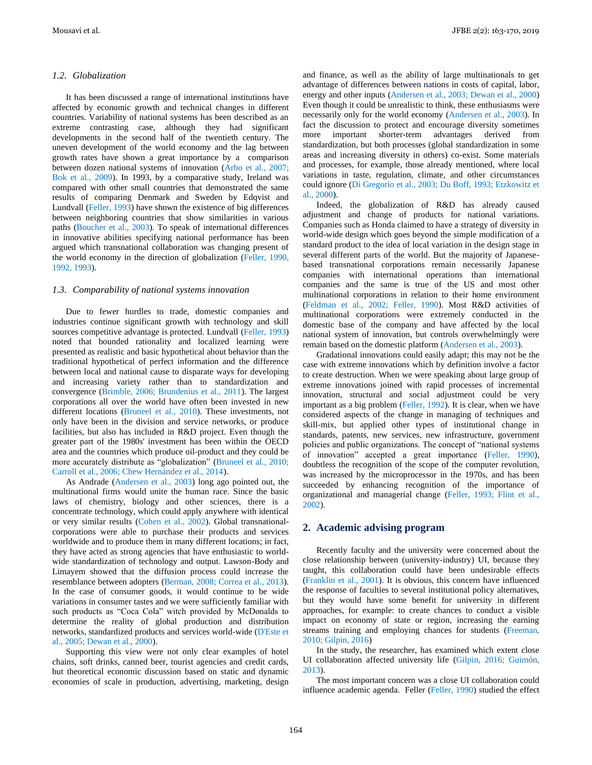#### *1.2. Globalization*

It has been discussed a range of international institutions have affected by economic growth and technical changes in different countries. Variability of national systems has been described as an extreme contrasting case, although they had significant developments in the second half of the twentieth century. The uneven development of the world economy and the lag between growth rates have shown a great importance by a comparison between dozen national systems of innovation (Arbo et al., 2007; Bok et al., 2009). In 1993, by a comparative study, Ireland was compared with other small countries that demonstrated the same results of comparing Denmark and Sweden by Edqvist and Lundvall (Feller, 1993) have shown the existence of big differences between neighboring countries that show similarities in various paths (Boucher et al., 2003). To speak of international differences in innovative abilities specifying national performance has been argued which transnational collaboration was changing present of the world economy in the direction of globalization (Feller, 1990, 1992, 1993).

#### *1.3. Comparability of national systems innovation*

Due to fewer hurdles to trade, domestic companies and industries continue significant growth with technology and skill sources competitive advantage is protected. Lundvall (Feller, 1993) noted that bounded rationality and localized learning were presented as realistic and basic hypothetical about behavior than the traditional hypothetical of perfect information and the difference between local and national cause to disparate ways for developing and increasing variety rather than to standardization and convergence (Brimble, 2006; Brundenius et al., 2011). The largest corporations all over the world have often been invested in new different locations (Bruneel et al., 2010). These investments, not only have been in the division and service networks, or produce facilities, but also has included in R&D project. Even though the greater part of the 1980s' investment has been within the OECD area and the countries which produce oil-product and they could be more accurately distribute as "globalization" (Bruneel et al., 2010; Carroll et al., 2006; Chew Hernández et al., 2014).

As Andrade (Andersen et al., 2003) long ago pointed out, the multinational firms would unite the human race. Since the basic laws of chemistry, biology and other sciences, there is a concentrate technology, which could apply anywhere with identical or very similar results (Cohen et al., 2002). Global transnationalcorporations were able to purchase their products and services worldwide and to produce them in many different locations; in fact, they have acted as strong agencies that have enthusiastic to worldwide standardization of technology and output. Lawson-Body and Limayem showed that the diffusion process could increase the resemblance between adopters (Berman, 2008; Correa et al., 2013). In the case of consumer goods, it would continue to be wide variations in consumer tastes and we were sufficiently familiar with such products as "Coca Cola" witch provided by McDonalds to determine the reality of global production and distribution networks, standardized products and services world-wide (D'Este et al., 2005; Dewan et al., 2000).

Supporting this view were not only clear examples of hotel chains, soft drinks, canned beer, tourist agencies and credit cards, but theoretical economic discussion based on static and dynamic economies of scale in production, advertising, marketing, design

and finance, as well as the ability of large multinationals to get advantage of differences between nations in costs of capital, labor, energy and other inputs (Andersen et al., 2003; Dewan et al., 2000) Even though it could be unrealistic to think, these enthusiasms were necessarily only for the world economy (Andersen et al., 2003). In fact the discussion to protect and encourage diversity sometimes more important shorter-term advantages derived from standardization, but both processes (global standardization in some areas and increasing diversity in others) co-exist. Some materials and processes, for example, those already mentioned, where local variations in taste, regulation, climate, and other circumstances could ignore (Di Gregorio et al., 2003; Du Boff, 1993; Etzkowitz et al., 2000).

Indeed, the globalization of R&D has already caused adjustment and change of products for national variations. Companies such as Honda claimed to have a strategy of diversity in world-wide design which goes beyond the simple modification of a standard product to the idea of local variation in the design stage in several different parts of the world. But the majority of Japanesebased transnational corporations remain necessarily Japanese companies with international operations than international companies and the same is true of the US and most other multinational corporations in relation to their home environment (Feldman et al., 2002; Feller, 1990). Most R&D activities of multinational corporations were extremely conducted in the domestic base of the company and have affected by the local national system of innovation, but controls overwhelmingly were remain based on the domestic platform (Andersen et al., 2003).

Gradational innovations could easily adapt; this may not be the case with extreme innovations which by definition involve a factor to create destruction. When we were speaking about large group of extreme innovations joined with rapid processes of incremental innovation, structural and social adjustment could be very important as a big problem (Feller, 1992). It is clear, when we have considered aspects of the change in managing of techniques and skill-mix, but applied other types of institutional change in standards, patents, new services, new infrastructure, government policies and public organizations. The concept of "national systems of innovation" accepted a great importance (Feller, 1990), doubtless the recognition of the scope of the computer revolution, was increased by the microprocessor in the 1970s, and has been succeeded by enhancing recognition of the importance of organizational and managerial change (Feller, 1993; Flint et al., 2002).

#### **2. Academic advising program**

Recently faculty and the university were concerned about the close relationship between (university-industry) UI, because they taught, this collaboration could have been undesirable effects (Franklin et al., 2001). It is obvious, this concern have influenced the response of faculties to several institutional policy alternatives, but they would have some benefit for university in different approaches, for example: to create chances to conduct a visible impact on economy of state or region, increasing the earning streams training and employing chances for students (Freeman, 2010; Gilpin, 2016)

In the study, the researcher, has examined which extent close UI collaboration affected university life (Gilpin, 2016; Guimón, 2013).

The most important concern was a close UI collaboration could influence academic agenda. Feller (Feller, 1990) studied the effect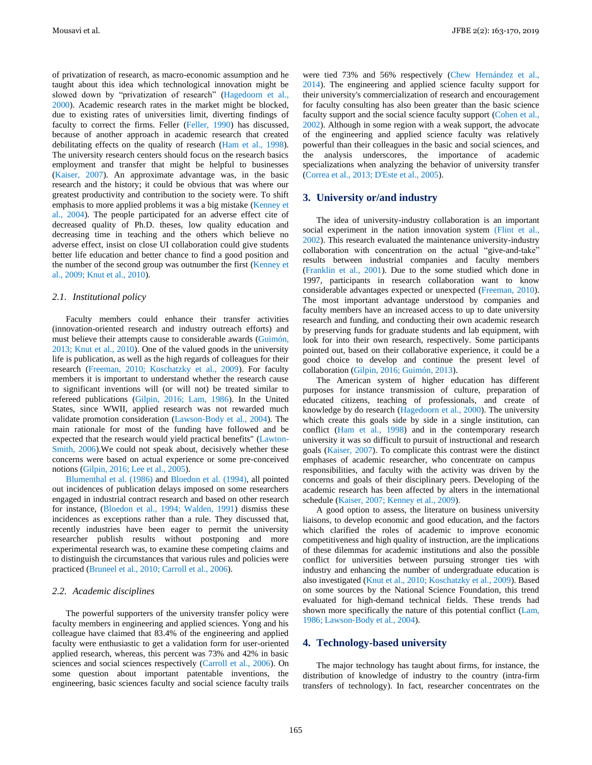of privatization of research, as macro-economic assumption and he taught about this idea which technological innovation might be slowed down by "privatization of research" (Hagedoorn et al., 2000). Academic research rates in the market might be blocked, due to existing rates of universities limit, diverting findings of faculty to correct the firms. Feller (Feller, 1990) has discussed, because of another approach in academic research that created debilitating effects on the quality of research (Ham et al., 1998). The university research centers should focus on the research basics employment and transfer that might be helpful to businesses (Kaiser, 2007). An approximate advantage was, in the basic research and the history; it could be obvious that was where our greatest productivity and contribution to the society were. To shift emphasis to more applied problems it was a big mistake (Kenney et al., 2004). The people participated for an adverse effect cite of decreased quality of Ph.D. theses, low quality education and decreasing time in teaching and the others which believe no adverse effect, insist on close UI collaboration could give students better life education and better chance to find a good position and the number of the second group was outnumber the first (Kenney et al., 2009; Knut et al., 2010).

#### *2.1. Institutional policy*

Faculty members could enhance their transfer activities (innovation-oriented research and industry outreach efforts) and must believe their attempts cause to considerable awards (Guimón, 2013; Knut et al., 2010). One of the valued goods in the university life is publication, as well as the high regards of colleagues for their research (Freeman, 2010; Koschatzky et al., 2009). For faculty members it is important to understand whether the research cause to significant inventions will (or will not) be treated similar to refereed publications (Gilpin, 2016; Lam, 1986). In the United States, since WWII, applied research was not rewarded much validate promotion consideration (Lawson‐Body et al., 2004). The main rationale for most of the funding have followed and be expected that the research would yield practical benefits" (Lawton-Smith, 2006).We could not speak about, decisively whether these concerns were based on actual experience or some pre-conceived notions (Gilpin, 2016; Lee et al., 2005).

Blumenthal et al. (1986) and Bloedon et al. (1994), all pointed out incidences of publication delays imposed on some researchers engaged in industrial contract research and based on other research for instance, (Bloedon et al., 1994; Walden, 1991) dismiss these incidences as exceptions rather than a rule. They discussed that, recently industries have been eager to permit the university researcher publish results without postponing and more experimental research was, to examine these competing claims and to distinguish the circumstances that various rules and policies were practiced (Bruneel et al., 2010; Carroll et al., 2006).

#### *2.2. Academic disciplines*

The powerful supporters of the university transfer policy were faculty members in engineering and applied sciences. Yong and his colleague have claimed that 83.4% of the engineering and applied faculty were enthusiastic to get a validation form for user-oriented applied research, whereas, this percent was 73% and 42% in basic sciences and social sciences respectively (Carroll et al., 2006). On some question about important patentable inventions, the engineering, basic sciences faculty and social science faculty trails

were tied 73% and 56% respectively (Chew Hernández et al., 2014). The engineering and applied science faculty support for their university's commercialization of research and encouragement for faculty consulting has also been greater than the basic science faculty support and the social science faculty support (Cohen et al., 2002). Although in some region with a weak support, the advocate of the engineering and applied science faculty was relatively powerful than their colleagues in the basic and social sciences, and the analysis underscores, the importance of academic specializations when analyzing the behavior of university transfer (Correa et al., 2013; D'Este et al., 2005).

### **3. University or/and industry**

The idea of university-industry collaboration is an important social experiment in the nation innovation system (Flint et al., 2002). This research evaluated the maintenance university-industry collaboration with concentration on the actual "give-and-take" results between industrial companies and faculty members (Franklin et al., 2001). Due to the some studied which done in 1997, participants in research collaboration want to know considerable advantages expected or unexpected (Freeman, 2010). The most important advantage understood by companies and faculty members have an increased access to up to date university research and funding, and conducting their own academic research by preserving funds for graduate students and lab equipment, with look for into their own research, respectively. Some participants pointed out, based on their collaborative experience, it could be a good choice to develop and continue the present level of collaboration (Gilpin, 2016; Guimón, 2013).

The American system of higher education has different purposes for instance transmission of culture, preparation of educated citizens, teaching of professionals, and create of knowledge by do research (Hagedoorn et al., 2000). The university which create this goals side by side in a single institution, can conflict (Ham et al., 1998) and in the contemporary research university it was so difficult to pursuit of instructional and research goals (Kaiser, 2007). To complicate this contrast were the distinct emphases of academic researcher, who concentrate on campus responsibilities, and faculty with the activity was driven by the concerns and goals of their disciplinary peers. Developing of the academic research has been affected by alters in the international schedule (Kaiser, 2007; Kenney et al., 2009) .

A good option to assess, the literature on business university liaisons, to develop economic and good education, and the factors which clarified the roles of academic to improve economic competitiveness and high quality of instruction, are the implications of these dilemmas for academic institutions and also the possible conflict for universities between pursuing stronger ties with industry and enhancing the number of undergraduate education is also investigated (Knut et al., 2010; Koschatzky et al., 2009). Based on some sources by the National Science Foundation, this trend evaluated for high-demand technical fields. These trends had shown more specifically the nature of this potential conflict (Lam, 1986; Lawson‐Body et al., 2004).

# **4. Technology-based university**

The major technology has taught about firms, for instance, the distribution of knowledge of industry to the country (intra-firm transfers of technology). In fact, researcher concentrates on the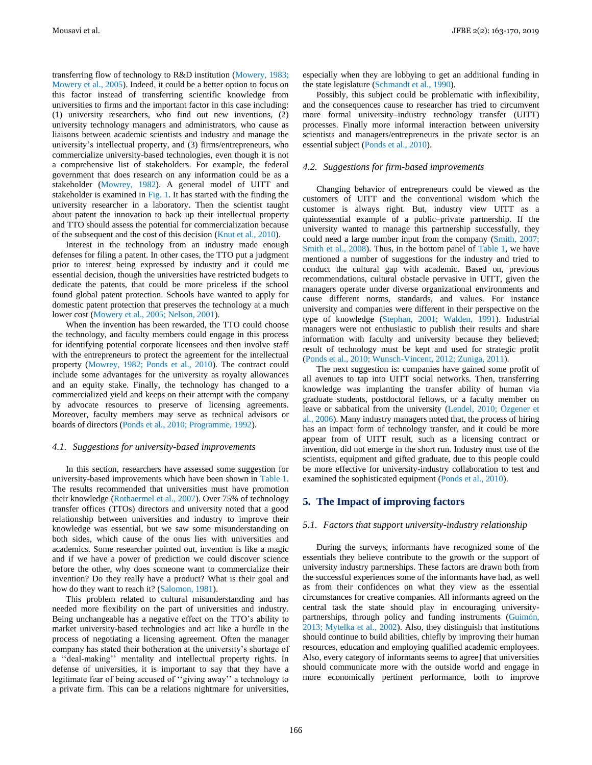Mousavi et al. JFBE 2(2): 163-170, 2019

transferring flow of technology to R&D institution (Mowery, 1983; Mowery et al., 2005). Indeed, it could be a better option to focus on this factor instead of transferring scientific knowledge from universities to firms and the important factor in this case including: (1) university researchers, who find out new inventions, (2) university technology managers and administrators, who cause as liaisons between academic scientists and industry and manage the university's intellectual property, and (3) firms/entrepreneurs, who commercialize university-based technologies, even though it is not a comprehensive list of stakeholders. For example, the federal government that does research on any information could be as a stakeholder (Mowrey, 1982). A general model of UITT and stakeholder is examined in Fig. 1. It has started with the finding the university researcher in a laboratory. Then the scientist taught about patent the innovation to back up their intellectual property and TTO should assess the potential for commercialization because of the subsequent and the cost of this decision (Knut et al., 2010).

Interest in the technology from an industry made enough defenses for filing a patent. In other cases, the TTO put a judgment prior to interest being expressed by industry and it could me essential decision, though the universities have restricted budgets to dedicate the patents, that could be more priceless if the school found global patent protection. Schools have wanted to apply for domestic patent protection that preserves the technology at a much lower cost (Mowery et al., 2005; Nelson, 2001).

When the invention has been rewarded, the TTO could choose the technology, and faculty members could engage in this process for identifying potential corporate licensees and then involve staff with the entrepreneurs to protect the agreement for the intellectual property (Mowrey, 1982; Ponds et al., 2010). The contract could include some advantages for the university as royalty allowances and an equity stake. Finally, the technology has changed to a commercialized yield and keeps on their attempt with the company by advocate resources to preserve of licensing agreements. Moreover, faculty members may serve as technical advisors or boards of directors (Ponds et al., 2010; Programme, 1992).

#### *4.1. Suggestions for university-based improvements*

In this section, researchers have assessed some suggestion for university-based improvements which have been shown in Table 1. The results recommended that universities must have promotion their knowledge (Rothaermel et al., 2007). Over 75% of technology transfer offices (TTOs) directors and university noted that a good relationship between universities and industry to improve their knowledge was essential, but we saw some misunderstanding on both sides, which cause of the onus lies with universities and academics. Some researcher pointed out, invention is like a magic and if we have a power of prediction we could discover science before the other, why does someone want to commercialize their invention? Do they really have a product? What is their goal and how do they want to reach it? (Salomon, 1981).

This problem related to cultural misunderstanding and has needed more flexibility on the part of universities and industry. Being unchangeable has a negative effect on the TTO's ability to market university-based technologies and act like a hurdle in the process of negotiating a licensing agreement. Often the manager company has stated their botheration at the university's shortage of a ''deal-making'' mentality and intellectual property rights. In defense of universities, it is important to say that they have a legitimate fear of being accused of ''giving away'' a technology to a private firm. This can be a relations nightmare for universities,

especially when they are lobbying to get an additional funding in the state legislature (Schmandt et al., 1990).

Possibly, this subject could be problematic with inflexibility, and the consequences cause to researcher has tried to circumvent more formal university–industry technology transfer (UITT) processes. Finally more informal interaction between university scientists and managers/entrepreneurs in the private sector is an essential subject (Ponds et al., 2010).

#### *4.2. Suggestions for firm-based improvements*

Changing behavior of entrepreneurs could be viewed as the customers of UITT and the conventional wisdom which the customer is always right. But, industry view UITT as a quintessential example of a public–private partnership. If the university wanted to manage this partnership successfully, they could need a large number input from the company (Smith, 2007; Smith et al., 2008). Thus, in the bottom panel of Table 1, we have mentioned a number of suggestions for the industry and tried to conduct the cultural gap with academic. Based on, previous recommendations, cultural obstacle pervasive in UITT, given the managers operate under diverse organizational environments and cause different norms, standards, and values. For instance university and companies were different in their perspective on the type of knowledge (Stephan, 2001; Walden, 1991). Industrial managers were not enthusiastic to publish their results and share information with faculty and university because they believed; result of technology must be kept and used for strategic profit (Ponds et al., 2010; Wunsch-Vincent, 2012; Zuniga, 2011).

The next suggestion is: companies have gained some profit of all avenues to tap into UITT social networks. Then, transferring knowledge was implanting the transfer ability of human via graduate students, postdoctoral fellows, or a faculty member on leave or sabbatical from the university (Lendel, 2010; Özgener et al., 2006). Many industry managers noted that, the process of hiring has an impact form of technology transfer, and it could be more appear from of UITT result, such as a licensing contract or invention, did not emerge in the short run. Industry must use of the scientists, equipment and gifted graduate, due to this people could be more effective for university-industry collaboration to test and examined the sophisticated equipment (Ponds et al., 2010).

# **5. The Impact of improving factors**

#### *5.1. Factors that support university-industry relationship*

During the surveys, informants have recognized some of the essentials they believe contribute to the growth or the support of university industry partnerships. These factors are drawn both from the successful experiences some of the informants have had, as well as from their confidences on what they view as the essential circumstances for creative companies. All informants agreed on the central task the state should play in encouraging universitypartnerships, through policy and funding instruments (Guimón, 2013; Mytelka et al., 2002). Also, they distinguish that institutions should continue to build abilities, chiefly by improving their human resources, education and employing qualified academic employees. Also, every category of informants seems to agree] that universities should communicate more with the outside world and engage in more economically pertinent performance, both to improve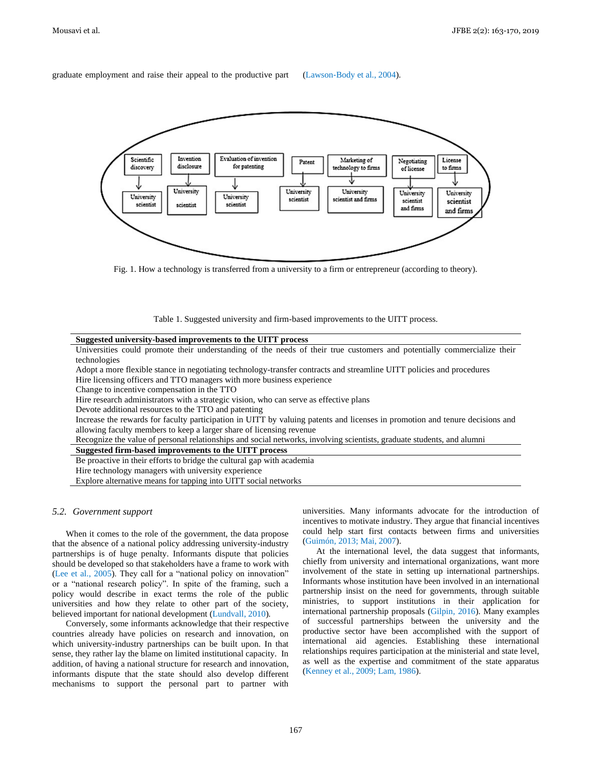graduate employment and raise their appeal to the productive part (Lawson-Body et al., 2004).



Fig. 1. How a technology is transferred from a university to a firm or entrepreneur (according to theory).

Table 1. Suggested university and firm-based improvements to the UITT process.

| Suggested university-based improvements to the UITT process                                                                  |
|------------------------------------------------------------------------------------------------------------------------------|
| Universities could promote their understanding of the needs of their true customers and potentially commercialize their      |
| technologies                                                                                                                 |
| Adopt a more flexible stance in negotiating technology-transfer contracts and streamline UITT policies and procedures        |
| Hire licensing officers and TTO managers with more business experience                                                       |
| Change to incentive compensation in the TTO                                                                                  |
| Hire research administrators with a strategic vision, who can serve as effective plans                                       |
| Devote additional resources to the TTO and patenting                                                                         |
| Increase the rewards for faculty participation in UITT by valuing patents and licenses in promotion and tenure decisions and |
| allowing faculty members to keep a larger share of licensing revenue                                                         |
| Recognize the value of personal relationships and social networks, involving scientists, graduate students, and alumni       |
| Suggested firm-based improvements to the UITT process                                                                        |
| Be proactive in their efforts to bridge the cultural gap with academia                                                       |
| Hire technology managers with university experience                                                                          |
| Explore alternative means for tapping into UITT social networks                                                              |

#### *5.2. Government support*

When it comes to the role of the government, the data propose that the absence of a national policy addressing university-industry partnerships is of huge penalty. Informants dispute that policies should be developed so that stakeholders have a frame to work with (Lee et al., 2005). They call for a "national policy on innovation" or a "national research policy". In spite of the framing, such a policy would describe in exact terms the role of the public universities and how they relate to other part of the society, believed important for national development (Lundvall, 2010).

Conversely, some informants acknowledge that their respective countries already have policies on research and innovation, on which university-industry partnerships can be built upon. In that sense, they rather lay the blame on limited institutional capacity. In addition, of having a national structure for research and innovation, informants dispute that the state should also develop different mechanisms to support the personal part to partner with

universities. Many informants advocate for the introduction of incentives to motivate industry. They argue that financial incentives could help start first contacts between firms and universities (Guimón, 2013; Mai, 2007).

At the international level, the data suggest that informants, chiefly from university and international organizations, want more involvement of the state in setting up international partnerships. Informants whose institution have been involved in an international partnership insist on the need for governments, through suitable ministries, to support institutions in their application for international partnership proposals (Gilpin, 2016). Many examples of successful partnerships between the university and the productive sector have been accomplished with the support of international aid agencies. Establishing these international relationships requires participation at the ministerial and state level, as well as the expertise and commitment of the state apparatus (Kenney et al., 2009; Lam, 1986).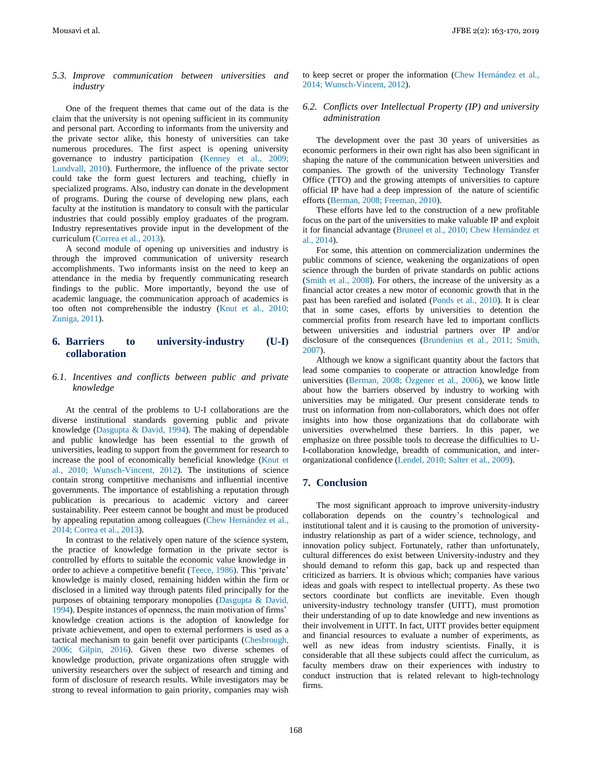*5.3. Improve communication between universities and industry*

One of the frequent themes that came out of the data is the claim that the university is not opening sufficient in its community and personal part. According to informants from the university and the private sector alike, this honesty of universities can take numerous procedures. The first aspect is opening university governance to industry participation (Kenney et al., 2009; Lundvall, 2010). Furthermore, the influence of the private sector could take the form guest lecturers and teaching, chiefly in specialized programs. Also, industry can donate in the development of programs. During the course of developing new plans, each faculty at the institution is mandatory to consult with the particular industries that could possibly employ graduates of the program. Industry representatives provide input in the development of the curriculum (Correa et al., 2013).

A second module of opening up universities and industry is through the improved communication of university research accomplishments. Two informants insist on the need to keep an attendance in the media by frequently communicating research findings to the public. More importantly, beyond the use of academic language, the communication approach of academics is too often not comprehensible the industry (Knut et al., 2010; Zuniga, 2011).

# **6.** Barriers to university-industry (U-I) **collaboration**

# *6.1. Incentives and conflicts between public and private knowledge*

At the central of the problems to U-I collaborations are the diverse institutional standards governing public and private knowledge (Dasgupta & David, 1994). The making of dependable and public knowledge has been essential to the growth of universities, leading to support from the government for research to increase the pool of economically beneficial knowledge (Knut et al., 2010; Wunsch-Vincent, 2012). The institutions of science contain strong competitive mechanisms and influential incentive governments. The importance of establishing a reputation through publication is precarious to academic victory and career sustainability. Peer esteem cannot be bought and must be produced by appealing reputation among colleagues (Chew Hernández et al., 2014; Correa et al., 2013).

In contrast to the relatively open nature of the science system, the practice of knowledge formation in the private sector is controlled by efforts to suitable the economic value knowledge in order to achieve a competitive benefit (Teece, 1986). This 'private' knowledge is mainly closed, remaining hidden within the firm or disclosed in a limited way through patents filed principally for the purposes of obtaining temporary monopolies (Dasgupta & David, 1994). Despite instances of openness, the main motivation of firms' knowledge creation actions is the adoption of knowledge for private achievement, and open to external performers is used as a tactical mechanism to gain benefit over participants (Chesbrough, 2006; Gilpin, 2016). Given these two diverse schemes of knowledge production, private organizations often struggle with university researchers over the subject of research and timing and form of disclosure of research results. While investigators may be strong to reveal information to gain priority, companies may wish

to keep secret or proper the information (Chew Hernández et al., 2014; Wunsch-Vincent, 2012).

# *6.2. Conflicts over Intellectual Property (IP) and university administration*

The development over the past 30 years of universities as economic performers in their own right has also been significant in shaping the nature of the communication between universities and companies. The growth of the university Technology Transfer Office (TTO) and the growing attempts of universities to capture official IP have had a deep impression of the nature of scientific efforts (Berman, 2008; Freeman, 2010).

These efforts have led to the construction of a new profitable focus on the part of the universities to make valuable IP and exploit it for financial advantage (Bruneel et al., 2010; Chew Hernández et al., 2014).

For some, this attention on commercialization undermines the public commons of science, weakening the organizations of open science through the burden of private standards on public actions (Smith et al., 2008). For others, the increase of the university as a financial actor creates a new motor of economic growth that in the past has been rarefied and isolated (Ponds et al., 2010). It is clear that in some cases, efforts by universities to detention the commercial profits from research have led to important conflicts between universities and industrial partners over IP and/or disclosure of the consequences (Brundenius et al., 2011; Smith, 2007).

Although we know a significant quantity about the factors that lead some companies to cooperate or attraction knowledge from universities (Berman, 2008; Özgener et al., 2006), we know little about how the barriers observed by industry to working with universities may be mitigated. Our present considerate tends to trust on information from non-collaborators, which does not offer insights into how those organizations that do collaborate with universities overwhelmed these barriers. In this paper, we emphasize on three possible tools to decrease the difficulties to U-I-collaboration knowledge, breadth of communication, and interorganizational confidence (Lendel, 2010; Salter et al., 2009).

# **7. Conclusion**

The most significant approach to improve university-industry collaboration depends on the country's technological and institutional talent and it is causing to the promotion of universityindustry relationship as part of a wider science, technology, and innovation policy subject. Fortunately, rather than unfortunately, cultural differences do exist between University-industry and they should demand to reform this gap, back up and respected than criticized as barriers. It is obvious which; companies have various ideas and goals with respect to intellectual property. As these two sectors coordinate but conflicts are inevitable. Even though university-industry technology transfer (UITT), must promotion their understanding of up to date knowledge and new inventions as their involvement in UITT. In fact, UITT provides better equipment and financial resources to evaluate a number of experiments, as well as new ideas from industry scientists. Finally, it is considerable that all these subjects could affect the curriculum, as faculty members draw on their experiences with industry to conduct instruction that is related relevant to high-technology firms.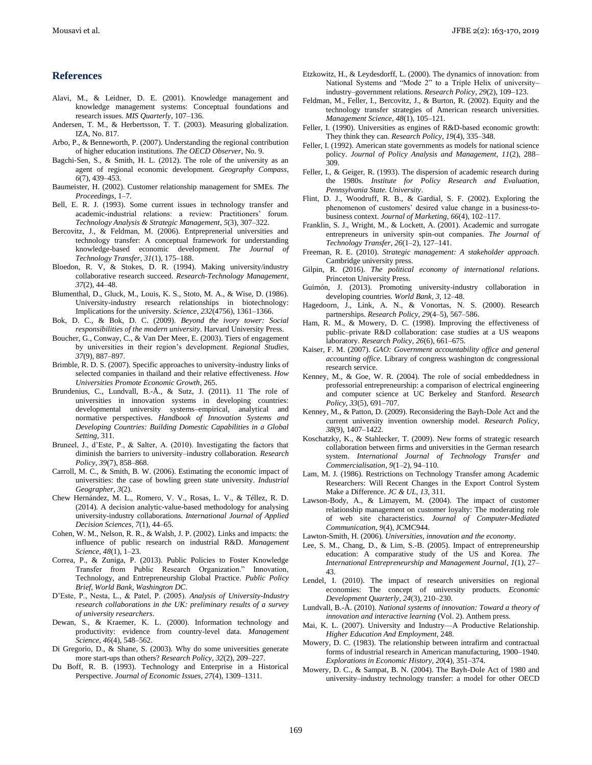#### **References**

- Alavi, M., & Leidner, D. E. (2001). Knowledge management and knowledge management systems: Conceptual foundations and research issues. *MIS Quarterly*, 107–136.
- Andersen, T. M., & Herbertsson, T. T. (2003). Measuring globalization. IZA, No. 817.
- Arbo, P., & Benneworth, P. (2007). Understanding the regional contribution of higher education institutions. *The OECD Observer*, No. 9.
- Bagchi‐Sen, S., & Smith, H. L. (2012). The role of the university as an agent of regional economic development. *Geography Compass*, *6*(7), 439–453.
- Baumeister, H. (2002). Customer relationship management for SMEs. *The Proceedings*, 1–7.
- Bell, E. R. J. (1993). Some current issues in technology transfer and academic-industrial relations: a review: Practitioners' forum. *Technology Analysis & Strategic Management*, *5*(3), 307–322.
- Bercovitz, J., & Feldman, M. (2006). Entpreprenerial universities and technology transfer: A conceptual framework for understanding knowledge-based economic development. *The Journal of Technology Transfer*, *31*(1), 175–188.
- Bloedon, R. V, & Stokes, D. R. (1994). Making university/industry collaborative research succeed. *Research-Technology Management*, *37*(2), 44–48.
- Blumenthal, D., Gluck, M., Louis, K. S., Stoto, M. A., & Wise, D. (1986). University-industry research relationships in biotechnology: Implications for the university. *Science*, *232*(4756), 1361–1366.
- Bok, D. C., & Bok, D. C. (2009). *Beyond the ivory tower: Social responsibilities of the modern university*. Harvard University Press.
- Boucher, G., Conway, C., & Van Der Meer, E. (2003). Tiers of engagement by universities in their region's development. *Regional Studies*, *37*(9), 887–897.
- Brimble, R. D. S. (2007). Specific approaches to university-industry links of selected companies in thailand and their relative effectiveness. *How Universities Promote Economic Growth*, 265.
- Brundenius, C., Lundvall, B.-Å., & Sutz, J. (2011). 11 The role of universities in innovation systems in developing countries: developmental university systems–empirical, analytical and normative perspectives. *Handbook of Innovation Systems and Developing Countries: Building Domestic Capabilities in a Global Setting*, 311.
- Bruneel, J., d'Este, P., & Salter, A. (2010). Investigating the factors that diminish the barriers to university–industry collaboration. *Research Policy*, *39*(7), 858–868.
- Carroll, M. C., & Smith, B. W. (2006). Estimating the economic impact of universities: the case of bowling green state university. *Industrial Geographer*, *3*(2).
- Chew Hernández, M. L., Romero, V. V., Rosas, L. V., & Téllez, R. D. (2014). A decision analytic-value-based methodology for analysing university-industry collaborations. *International Journal of Applied Decision Sciences*, *7*(1), 44–65.
- Cohen, W. M., Nelson, R. R., & Walsh, J. P. (2002). Links and impacts: the influence of public research on industrial R&D. *Management Science*, *48*(1), 1–23.
- Correa, P., & Zuniga, P. (2013). Public Policies to Foster Knowledge Transfer from Public Research Organization." Innovation, Technology, and Entrepreneurship Global Practice. *Public Policy Brief, World Bank, Washington DC*.
- D'Este, P., Nesta, L., & Patel, P. (2005). *Analysis of University-Industry research collaborations in the UK: preliminary results of a survey of university researchers*.
- Dewan, S., & Kraemer, K. L. (2000). Information technology and productivity: evidence from country-level data. *Management Science*, *46*(4), 548–562.
- Di Gregorio, D., & Shane, S. (2003). Why do some universities generate more start-ups than others? *Research Policy*, *32*(2), 209–227.
- Du Boff, R. B. (1993). Technology and Enterprise in a Historical Perspective. *Journal of Economic Issues*, *27*(4), 1309–1311.
- Etzkowitz, H., & Leydesdorff, L. (2000). The dynamics of innovation: from National Systems and "Mode 2" to a Triple Helix of university– industry–government relations. *Research Policy*, *29*(2), 109–123.
- Feldman, M., Feller, I., Bercovitz, J., & Burton, R. (2002). Equity and the technology transfer strategies of American research universities. *Management Science*, *48*(1), 105–121.
- Feller, I. (1990). Universities as engines of R&D-based economic growth: They think they can. *Research Policy*, *19*(4), 335–348.
- Feller, I. (1992). American state governments as models for national science policy. *Journal of Policy Analysis and Management*, *11*(2), 288– 309.
- Feller, I., & Geiger, R. (1993). The dispersion of academic research during the 1980s. *Institute for Policy Research and Evaluation, Pennsylvania State. University*.
- Flint, D. J., Woodruff, R. B., & Gardial, S. F. (2002). Exploring the phenomenon of customers' desired value change in a business-tobusiness context. *Journal of Marketing*, *66*(4), 102–117.
- Franklin, S. J., Wright, M., & Lockett, A. (2001). Academic and surrogate entrepreneurs in university spin-out companies. *The Journal of Technology Transfer*, *26*(1–2), 127–141.
- Freeman, R. E. (2010). *Strategic management: A stakeholder approach*. Cambridge university press.
- Gilpin, R. (2016). *The political economy of international relations*. Princeton University Press.
- Guimón, J. (2013). Promoting university-industry collaboration in developing countries. *World Bank*, *3*, 12–48.
- Hagedoorn, J., Link, A. N., & Vonortas, N. S. (2000). Research partnerships. *Research Policy*, *29*(4–5), 567–586.
- Ham, R. M., & Mowery, D. C. (1998). Improving the effectiveness of public–private R&D collaboration: case studies at a US weapons laboratory. *Research Policy*, *26*(6), 661–675.
- Kaiser, F. M. (2007). *GAO: Government accountability office and general accounting office*. Library of congress washington dc congressional research service.
- Kenney, M., & Goe, W. R. (2004). The role of social embeddedness in professorial entrepreneurship: a comparison of electrical engineering and computer science at UC Berkeley and Stanford. *Research Policy*, *33*(5), 691–707.
- Kenney, M., & Patton, D. (2009). Reconsidering the Bayh-Dole Act and the current university invention ownership model. *Research Policy*, *38*(9), 1407–1422.
- Koschatzky, K., & Stahlecker, T. (2009). New forms of strategic research collaboration between firms and universities in the German research system. *International Journal of Technology Transfer and Commercialisation*, *9*(1–2), 94–110.
- Lam, M. J. (1986). Restrictions on Technology Transfer among Academic Researchers: Will Recent Changes in the Export Control System Make a Difference. *JC & UL*, *13*, 311.
- Lawson-Body, A., & Limayem, M. (2004). The impact of customer relationship management on customer loyalty: The moderating role of web site characteristics. *Journal of Computer-Mediated Communication*, *9*(4), JCMC944.
- Lawton-Smith, H. (2006). *Universities, innovation and the economy*.
- Lee, S. M., Chang, D., & Lim, S.-B. (2005). Impact of entrepreneurship education: A comparative study of the US and Korea. *The International Entrepreneurship and Management Journal*, *1*(1), 27– 43.
- Lendel, I. (2010). The impact of research universities on regional economies: The concept of university products. *Economic Development Quarterly*, *24*(3), 210–230.
- Lundvall, B.-Å. (2010). *National systems of innovation: Toward a theory of innovation and interactive learning* (Vol. 2). Anthem press.
- Mai, K. L. (2007). University and Industry—A Productive Relationship. *Higher Education And Employment*, 248.
- Mowery, D. C. (1983). The relationship between intrafirm and contractual forms of industrial research in American manufacturing, 1900–1940. *Explorations in Economic History*, *20*(4), 351–374.
- Mowery, D. C., & Sampat, B. N. (2004). The Bayh-Dole Act of 1980 and university–industry technology transfer: a model for other OECD